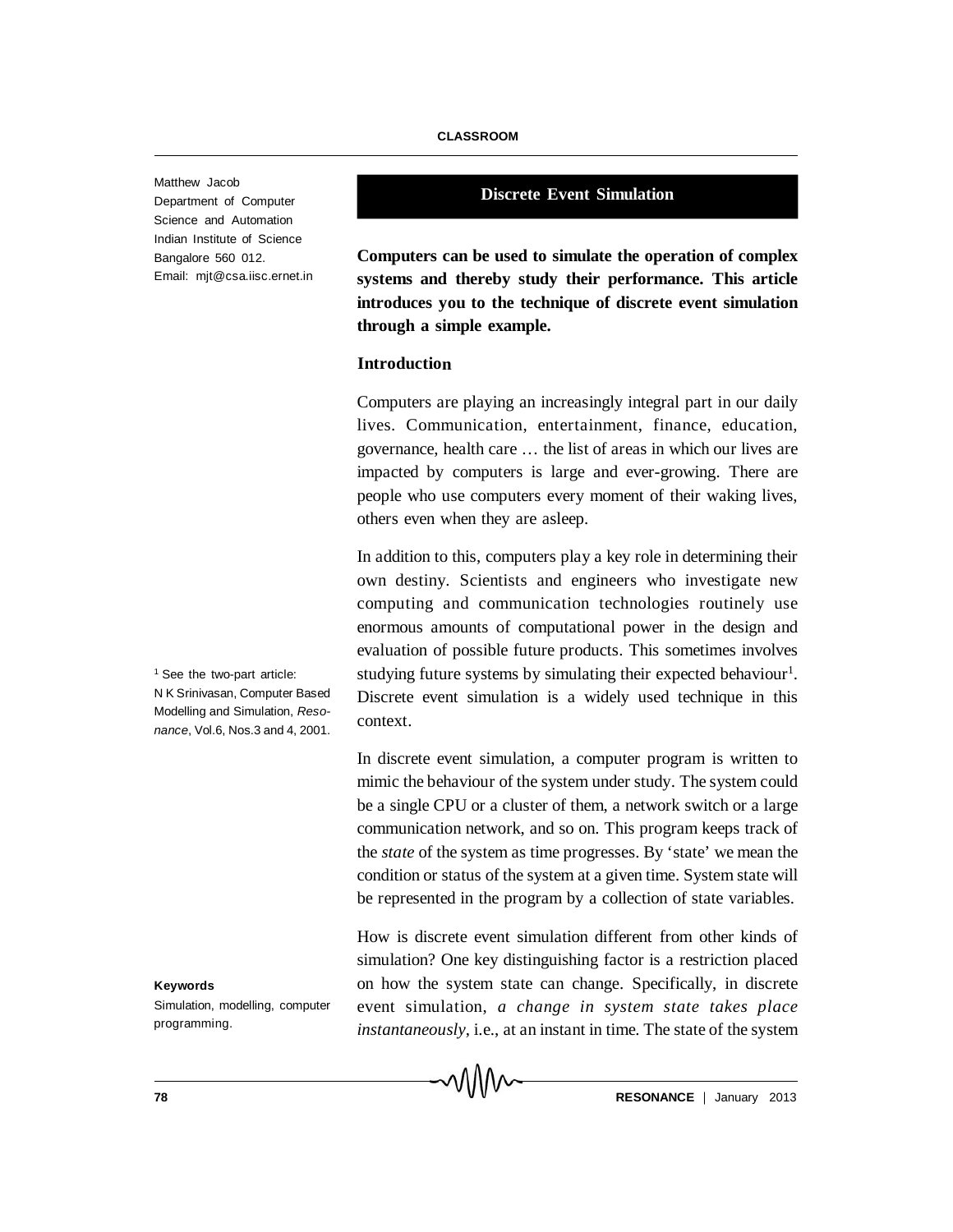#### **CLASSROOM**

Matthew Jacob Department of Computer Science and Automation Indian Institute of Science Bangalore 560 012. Email: mjt@csa.iisc.ernet.in

**Computers can be used to simulate the operation of complex systems and thereby study their performance. This article introduces you to the technique of discrete event simulation through a simple example.**

**Discrete Event Simulation**

### **Introduction**

Computers are playing an increasingly integral part in our daily lives. Communication, entertainment, finance, education, governance, health care … the list of areas in which our lives are impacted by computers is large and ever-growing. There are people who use computers every moment of their waking lives, others even when they are asleep.

In addition to this, computers play a key role in determining their own destiny. Scientists and engineers who investigate new computing and communication technologies routinely use enormous amounts of computational power in the design and evaluation of possible future products. This sometimes involves studying future systems by simulating their expected behaviour<sup>1</sup>. Discrete event simulation is a widely used technique in this context.

In discrete event simulation, a computer program is written to mimic the behaviour of the system under study. The system could be a single CPU or a cluster of them, a network switch or a large communication network, and so on. This program keeps track of the *state* of the system as time progresses. By 'state' we mean the condition or status of the system at a given time. System state will be represented in the program by a collection of state variables.

How is discrete event simulation different from other kinds of simulation? One key distinguishing factor is a restriction placed on how the system state can change. Specifically, in discrete event simulation, *a change in system state takes place instantaneously*, i.e., at an instant in time. The state of the system

<sup>1</sup> See the two-part article: N K Srinivasan, Computer Based Modelling and Simulation, *Resonance*, Vol.6, Nos.3 and 4, 2001.

#### **Keywords**

Simulation, modelling, computer programming.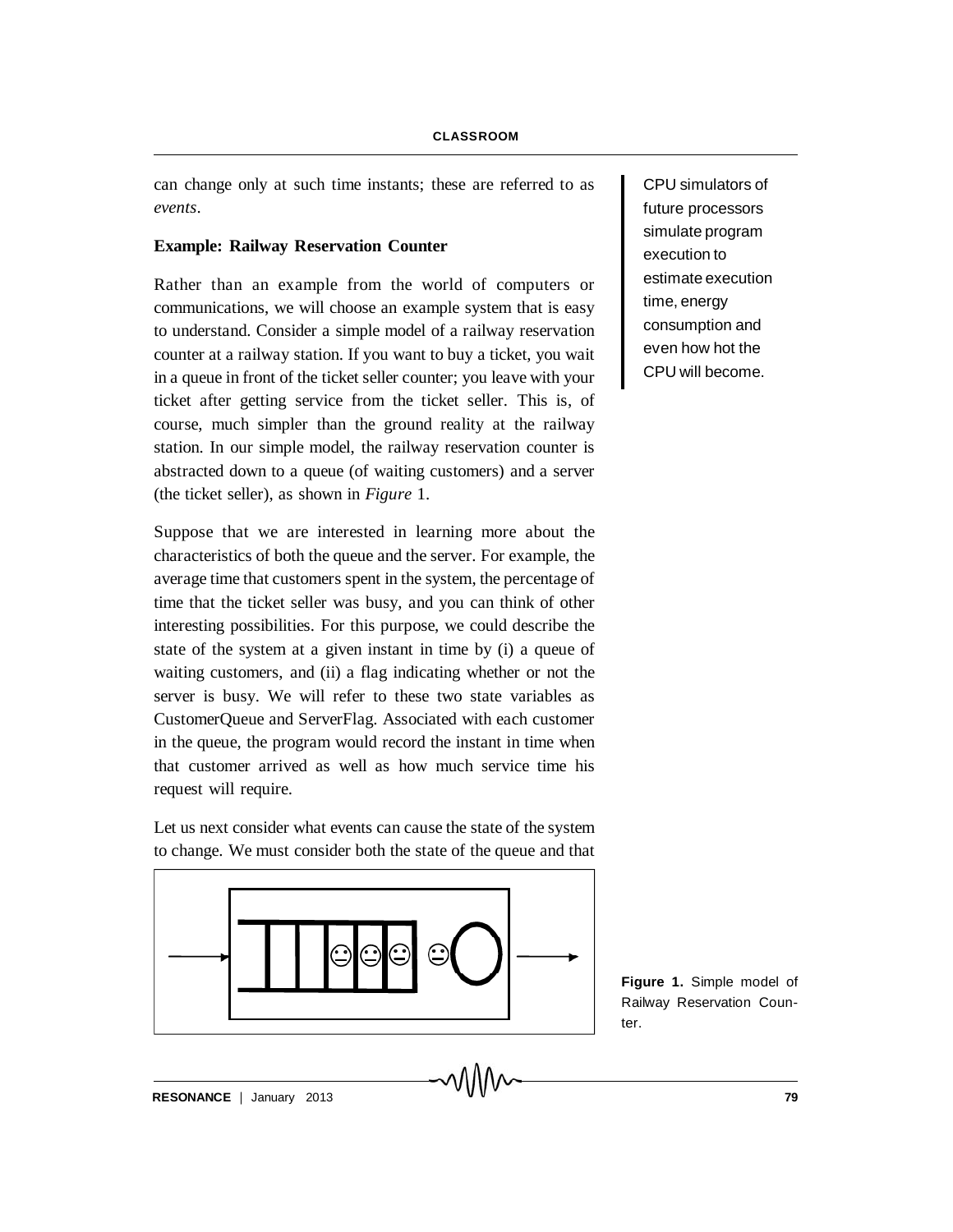can change only at such time instants; these are referred to as *events*.

#### **Example: Railway Reservation Counter**

Rather than an example from the world of computers or communications, we will choose an example system that is easy to understand. Consider a simple model of a railway reservation counter at a railway station. If you want to buy a ticket, you wait in a queue in front of the ticket seller counter; you leave with your ticket after getting service from the ticket seller. This is, of course, much simpler than the ground reality at the railway station. In our simple model, the railway reservation counter is abstracted down to a queue (of waiting customers) and a server (the ticket seller), as shown in *Figure* 1.

Suppose that we are interested in learning more about the characteristics of both the queue and the server. For example, the average time that customers spent in the system, the percentage of time that the ticket seller was busy, and you can think of other interesting possibilities. For this purpose, we could describe the state of the system at a given instant in time by (i) a queue of waiting customers, and (ii) a flag indicating whether or not the server is busy. We will refer to these two state variables as CustomerQueue and ServerFlag. Associated with each customer in the queue, the program would record the instant in time when that customer arrived as well as how much service time his request will require.

Let us next consider what events can cause the state of the system to change. We must consider both the state of the queue and that



CPU simulators of future processors simulate program execution to estimate execution time, energy consumption and even how hot the CPU will become.

**Figure 1.** Simple model of Railway Reservation Counter.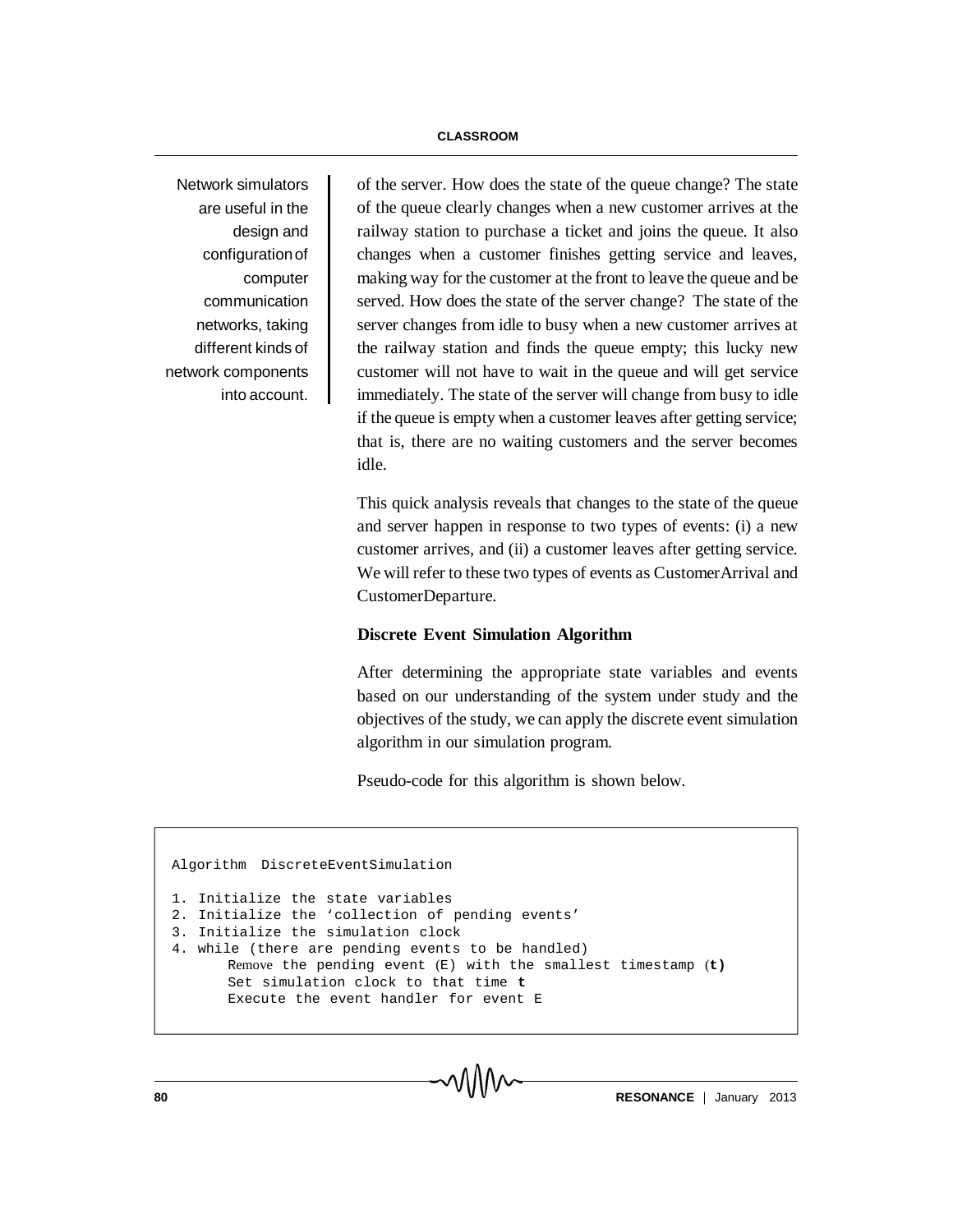#### **CLASSROOM**

Network simulators are useful in the design and configuration of computer communication networks, taking different kinds of network components into account.

of the server. How does the state of the queue change? The state of the queue clearly changes when a new customer arrives at the railway station to purchase a ticket and joins the queue. It also changes when a customer finishes getting service and leaves, making way for the customer at the front to leave the queue and be served. How does the state of the server change? The state of the server changes from idle to busy when a new customer arrives at the railway station and finds the queue empty; this lucky new customer will not have to wait in the queue and will get service immediately. The state of the server will change from busy to idle if the queue is empty when a customer leaves after getting service; that is, there are no waiting customers and the server becomes idle.

This quick analysis reveals that changes to the state of the queue and server happen in response to two types of events: (i) a new customer arrives, and (ii) a customer leaves after getting service. We will refer to these two types of events as CustomerArrival and CustomerDeparture.

# **Discrete Event Simulation Algorithm**

After determining the appropriate state variables and events based on our understanding of the system under study and the objectives of the study, we can apply the discrete event simulation algorithm in our simulation program.

Pseudo-code for this algorithm is shown below.

Algorithm DiscreteEventSimulation 1. Initialize the state variables 2. Initialize the 'collection of pending events' 3. Initialize the simulation clock 4. while (there are pending events to be handled) Remove the pending event (E) with the smallest timestamp (**t)** Set simulation clock to that time **t** Execute the event handler for event E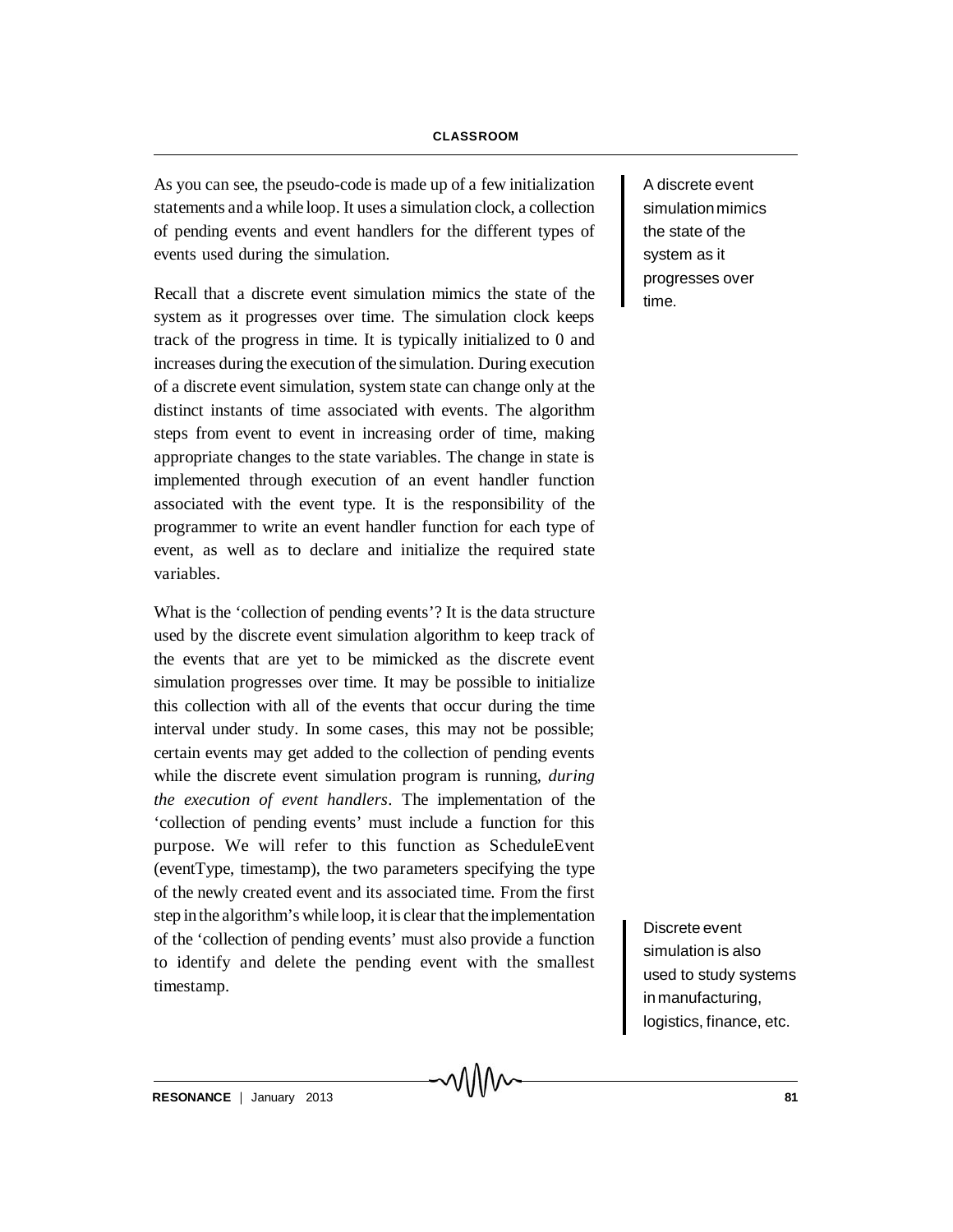### **CLASSROOM**

As you can see, the pseudo-code is made up of a few initialization statements and a while loop. It uses a simulation clock, a collection of pending events and event handlers for the different types of events used during the simulation.

Recall that a discrete event simulation mimics the state of the system as it progresses over time. The simulation clock keeps track of the progress in time. It is typically initialized to 0 and increases during the execution of the simulation. During execution of a discrete event simulation, system state can change only at the distinct instants of time associated with events. The algorithm steps from event to event in increasing order of time, making appropriate changes to the state variables. The change in state is implemented through execution of an event handler function associated with the event type. It is the responsibility of the programmer to write an event handler function for each type of event, as well as to declare and initialize the required state variables.

What is the 'collection of pending events'? It is the data structure used by the discrete event simulation algorithm to keep track of the events that are yet to be mimicked as the discrete event simulation progresses over time. It may be possible to initialize this collection with all of the events that occur during the time interval under study. In some cases, this may not be possible; certain events may get added to the collection of pending events while the discrete event simulation program is running, *during the execution of event handlers*. The implementation of the 'collection of pending events' must include a function for this purpose. We will refer to this function as ScheduleEvent (eventType, timestamp), the two parameters specifying the type of the newly created event and its associated time. From the first step in the algorithm's while loop, it is clear that the implementation of the 'collection of pending events' must also provide a function to identify and delete the pending event with the smallest timestamp.

A discrete event simulation mimics the state of the system as it progresses over time.

Discrete event simulation is also used to study systems inmanufacturing, logistics, finance, etc.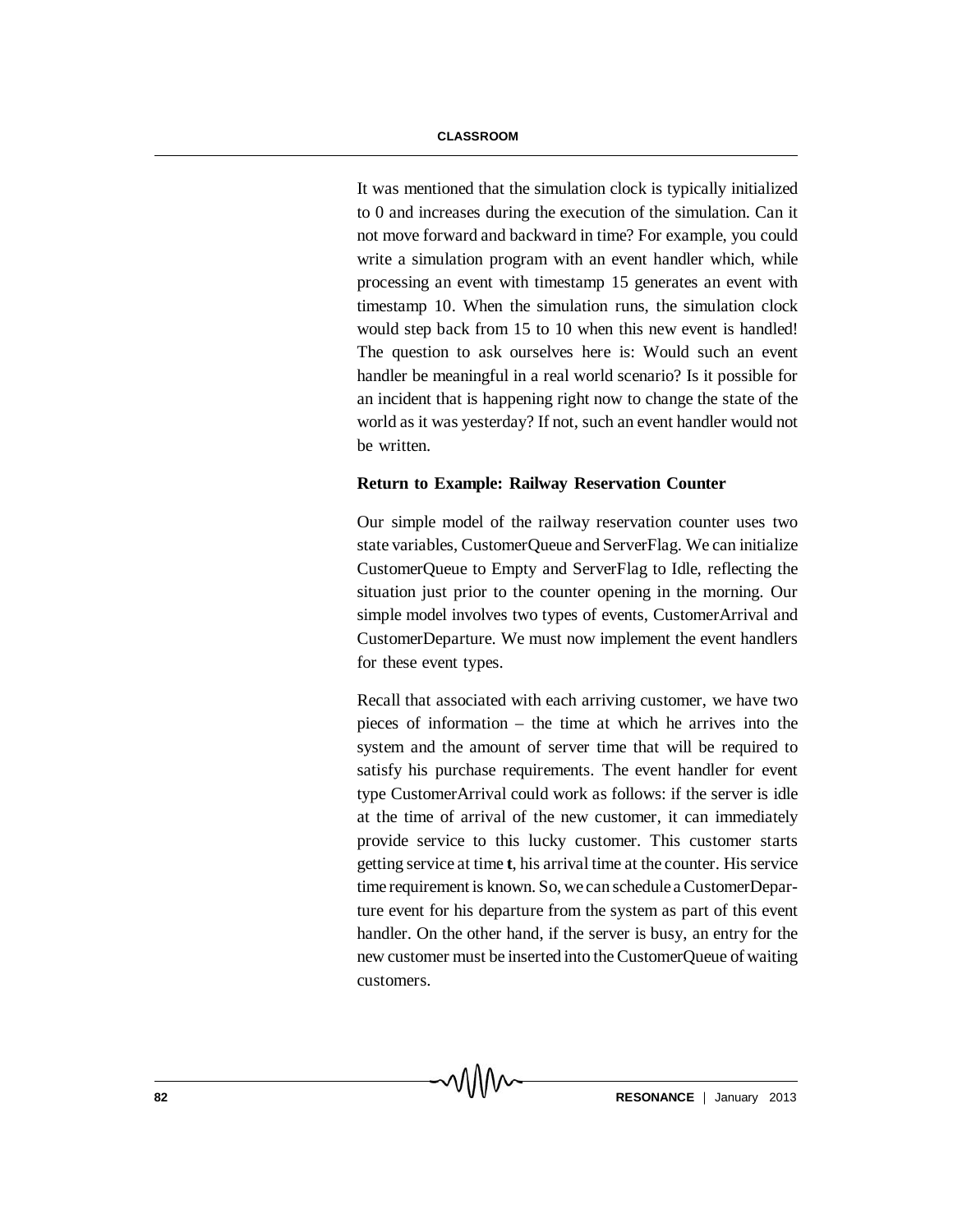It was mentioned that the simulation clock is typically initialized to 0 and increases during the execution of the simulation. Can it not move forward and backward in time? For example, you could write a simulation program with an event handler which, while processing an event with timestamp 15 generates an event with timestamp 10. When the simulation runs, the simulation clock would step back from 15 to 10 when this new event is handled! The question to ask ourselves here is: Would such an event handler be meaningful in a real world scenario? Is it possible for an incident that is happening right now to change the state of the world as it was yesterday? If not, such an event handler would not be written.

### **Return to Example: Railway Reservation Counter**

Our simple model of the railway reservation counter uses two state variables, CustomerQueue and ServerFlag. We can initialize CustomerQueue to Empty and ServerFlag to Idle, reflecting the situation just prior to the counter opening in the morning. Our simple model involves two types of events, CustomerArrival and CustomerDeparture. We must now implement the event handlers for these event types.

Recall that associated with each arriving customer, we have two pieces of information – the time at which he arrives into the system and the amount of server time that will be required to satisfy his purchase requirements. The event handler for event type CustomerArrival could work as follows: if the server is idle at the time of arrival of the new customer, it can immediately provide service to this lucky customer. This customer starts getting service at time **t**, his arrival time at the counter. His service time requirement is known. So, we can schedule a CustomerDeparture event for his departure from the system as part of this event handler. On the other hand, if the server is busy, an entry for the new customer must be inserted into the CustomerQueue of waiting customers.

MM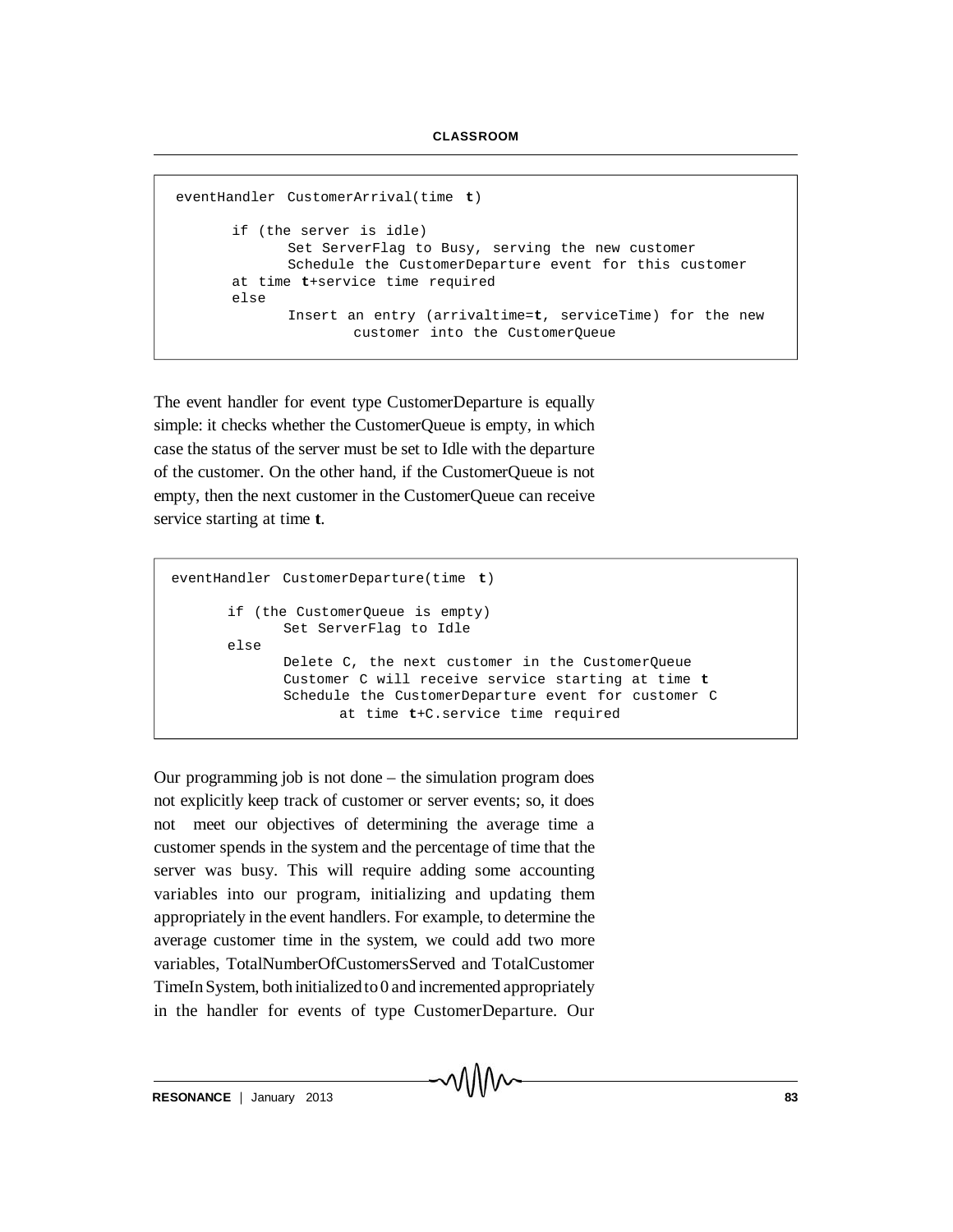```
eventHandler CustomerArrival(time t)
if (the server is idle)
       Set ServerFlag to Busy, serving the new customer
       Schedule the CustomerDeparture event for this customer
at time t+service time required
else
       Insert an entry (arrivaltime=t, serviceTime) for the new
               customer into the CustomerQueue
```
The event handler for event type CustomerDeparture is equally simple: it checks whether the CustomerQueue is empty, in which case the status of the server must be set to Idle with the departure of the customer. On the other hand, if the CustomerQueue is not empty, then the next customer in the CustomerQueue can receive service starting at time **t**.

```
eventHandler CustomerDeparture(time t)
if (the CustomerQueue is empty)
       Set ServerFlag to Idle
else
       Delete C, the next customer in the CustomerQueue
       Customer C will receive service starting at time t
       Schedule the CustomerDeparture event for customer C
             at time t+C.service time required
```
nnny

Our programming job is not done – the simulation program does not explicitly keep track of customer or server events; so, it does not meet our objectives of determining the average time a customer spends in the system and the percentage of time that the server was busy. This will require adding some accounting variables into our program, initializing and updating them appropriately in the event handlers. For example, to determine the average customer time in the system, we could add two more variables, TotalNumberOfCustomersServed and TotalCustomer TimeIn System, both initialized to 0 and incremented appropriately in the handler for events of type CustomerDeparture. Our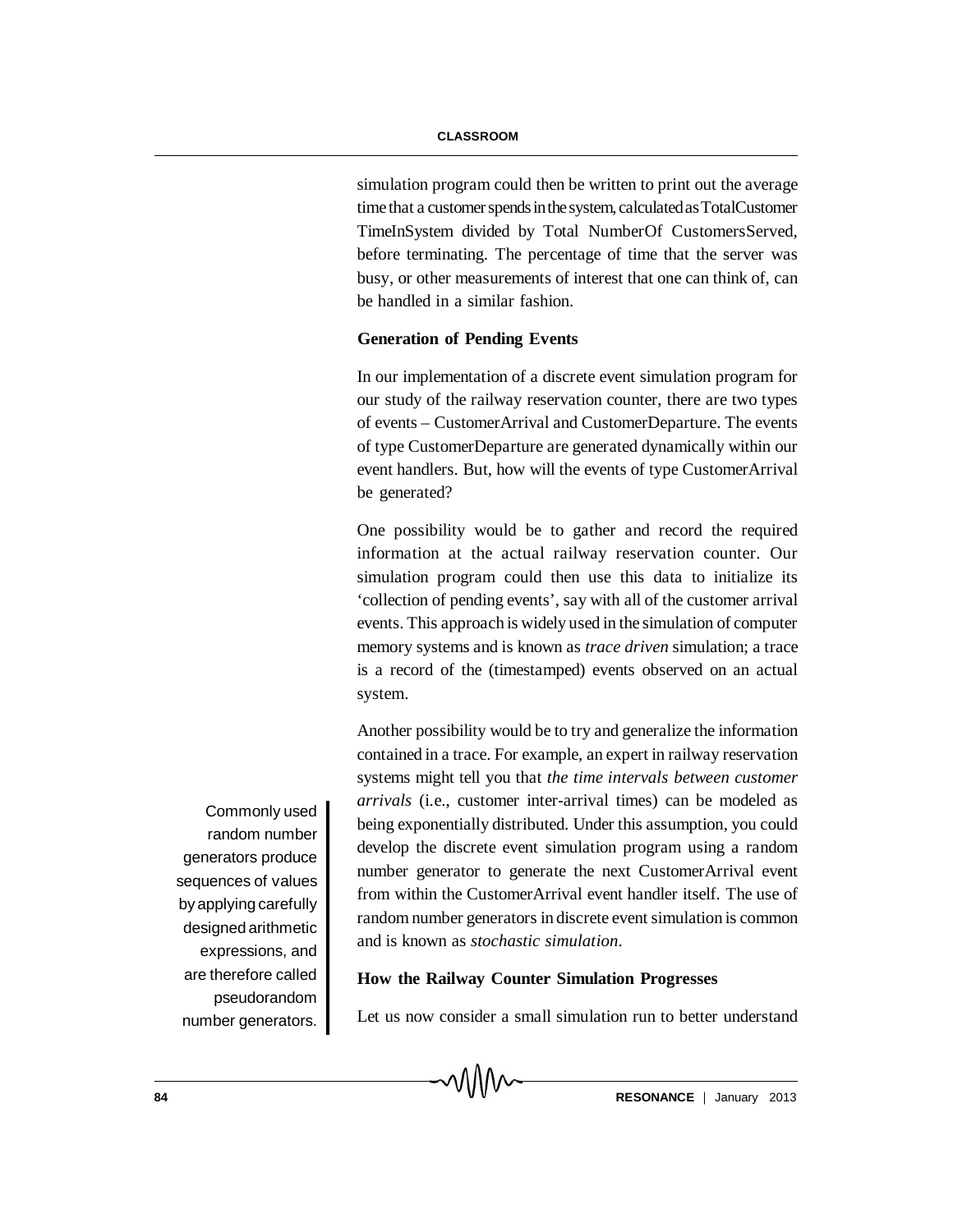simulation program could then be written to print out the average time that a customer spends in the system, calculated as TotalCustomer TimeInSystem divided by Total NumberOf CustomersServed, before terminating. The percentage of time that the server was busy, or other measurements of interest that one can think of, can be handled in a similar fashion.

### **Generation of Pending Events**

In our implementation of a discrete event simulation program for our study of the railway reservation counter, there are two types of events – CustomerArrival and CustomerDeparture. The events of type CustomerDeparture are generated dynamically within our event handlers. But, how will the events of type CustomerArrival be generated?

One possibility would be to gather and record the required information at the actual railway reservation counter. Our simulation program could then use this data to initialize its 'collection of pending events', say with all of the customer arrival events. This approach is widely used in the simulation of computer memory systems and is known as *trace driven* simulation; a trace is a record of the (timestamped) events observed on an actual system.

Another possibility would be to try and generalize the information contained in a trace. For example, an expert in railway reservation systems might tell you that *the time intervals between customer arrivals* (i.e., customer inter-arrival times) can be modeled as being exponentially distributed. Under this assumption, you could develop the discrete event simulation program using a random number generator to generate the next CustomerArrival event from within the CustomerArrival event handler itself. The use of random number generators in discrete event simulation is common and is known as *stochastic simulation*.

# **How the Railway Counter Simulation Progresses**

Let us now consider a small simulation run to better understand

Commonly used random number generators produce sequences of values by applying carefully designed arithmetic expressions, and are therefore called pseudorandom number generators.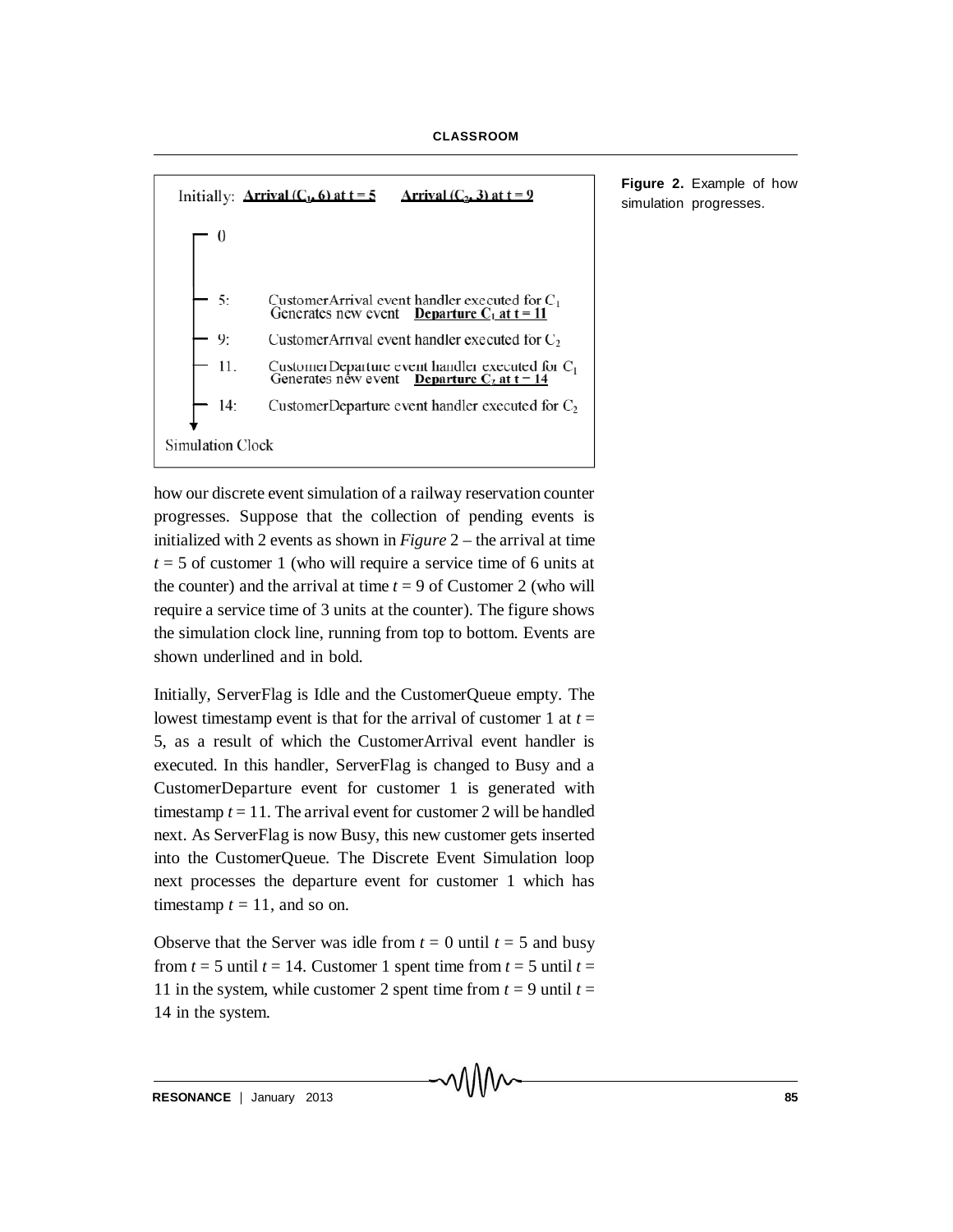**CLASSROOM**



**Figure 2.** Example of how simulation progresses.

how our discrete event simulation of a railway reservation counter progresses. Suppose that the collection of pending events is initialized with 2 events as shown in *Figure* 2 – the arrival at time  $t = 5$  of customer 1 (who will require a service time of 6 units at the counter) and the arrival at time  $t = 9$  of Customer 2 (who will require a service time of 3 units at the counter). The figure shows the simulation clock line, running from top to bottom. Events are shown underlined and in bold.

Initially, ServerFlag is Idle and the CustomerQueue empty. The lowest timestamp event is that for the arrival of customer 1 at  $t =$ 5, as a result of which the CustomerArrival event handler is executed. In this handler, ServerFlag is changed to Busy and a CustomerDeparture event for customer 1 is generated with timestamp  $t = 11$ . The arrival event for customer 2 will be handled next. As ServerFlag is now Busy, this new customer gets inserted into the CustomerQueue. The Discrete Event Simulation loop next processes the departure event for customer 1 which has timestamp  $t = 11$ , and so on.

Observe that the Server was idle from  $t = 0$  until  $t = 5$  and busy from  $t = 5$  until  $t = 14$ . Customer 1 spent time from  $t = 5$  until  $t =$ 11 in the system, while customer 2 spent time from  $t = 9$  until  $t =$ 14 in the system.